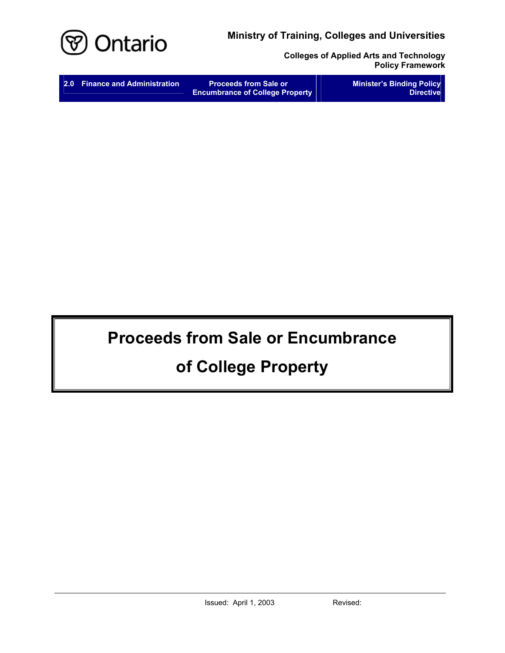**Ministry of Training, Colleges and Universities** 



**Colleges of Applied Arts and Technology Policy Framework** 

| 2.0 Finance and Administration | <b>Proceeds from Sale or</b><br><b>Encumbrance of College Property</b> | <b>Minister's Binding Policy</b><br><b>Directive</b> |
|--------------------------------|------------------------------------------------------------------------|------------------------------------------------------|
|                                |                                                                        |                                                      |

# **Proceeds from Sale or Encumbrance**

# **of College Property**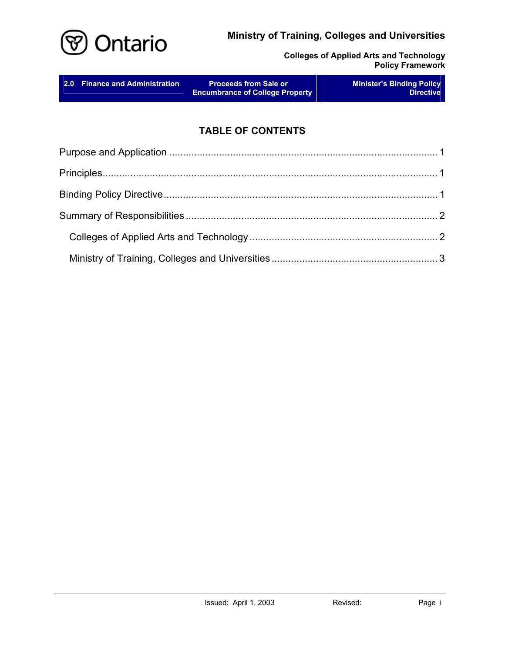## **Ministry of Training, Colleges and Universities**



**Colleges of Applied Arts and Technology Policy Framework** 

# **TABLE OF CONTENTS**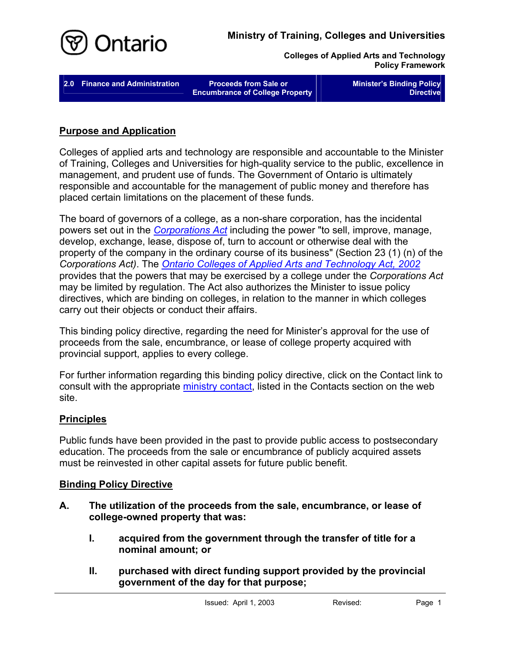

**Colleges of Applied Arts and Technology Policy Framework** 

**2.0 Finance and Administration Proceeds from Sale or** 

**Encumbrance of College Property** 

**Minister's Binding Policy Directive** 

#### **Purpose and Application**

Colleges of applied arts and technology are responsible and accountable to the Minister of Training, Colleges and Universities for high-quality service to the public, excellence in management, and prudent use of funds. The Government of Ontario is ultimately responsible and accountable for the management of public money and therefore has placed certain limitations on the placement of these funds.

The board of governors of a college, as a non-share corporation, has the incidental powers set out in the *[Corporations Act](http://www.e-laws.gov.on.ca/html/statutes/english/elaws_statutes_90c38_e.htm)* including the power "to sell, improve, manage, develop, exchange, lease, dispose of, turn to account or otherwise deal with the property of the company in the ordinary course of its business" (Section 23 (1) (n) of the *Corporations Act)*. The *[Ontario Colleges of Applied Arts and Technology Act, 2002](http://www.e-laws.gov.on.ca/html/statutes/english/elaws_statutes_02o08f_e.htm)* provides that the powers that may be exercised by a college under the *Corporations Act* may be limited by regulation. The Act also authorizes the Minister to issue policy directives, which are binding on colleges, in relation to the manner in which colleges carry out their objects or conduct their affairs.

This binding policy directive, regarding the need for Minister's approval for the use of proceeds from the sale, encumbrance, or lease of college property acquired with provincial support, applies to every college.

For further information regarding this binding policy directive, click on the Contact link to consult with the appropriate [ministry contact,](http://caat.edu.gov.on.ca/HTMLpages/Contacts_Eng.html#Proceeds_from_Sale) listed in the Contacts section on the web site.

#### **Principles**

Public funds have been provided in the past to provide public access to postsecondary education. The proceeds from the sale or encumbrance of publicly acquired assets must be reinvested in other capital assets for future public benefit.

#### **Binding Policy Directive**

- **A. The utilization of the proceeds from the sale, encumbrance, or lease of college-owned property that was:** 
	- **I. acquired from the government through the transfer of title for a nominal amount; or**
	- **II. purchased with direct funding support provided by the provincial government of the day for that purpose;**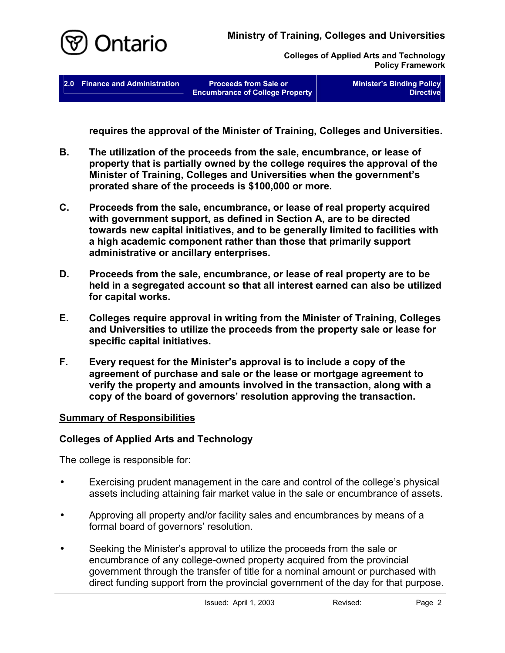

**Colleges of Applied Arts and Technology Policy Framework** 

**2.0 Finance and Administration Proceeds from Sale or** 

**Encumbrance of College Property** 

**Minister's Binding Policy Directive** 

**requires the approval of the Minister of Training, Colleges and Universities.** 

- **B. The utilization of the proceeds from the sale, encumbrance, or lease of property that is partially owned by the college requires the approval of the Minister of Training, Colleges and Universities when the government's prorated share of the proceeds is \$100,000 or more.**
- **C. Proceeds from the sale, encumbrance, or lease of real property acquired with government support, as defined in Section A, are to be directed towards new capital initiatives, and to be generally limited to facilities with a high academic component rather than those that primarily support administrative or ancillary enterprises.**
- **D. Proceeds from the sale, encumbrance, or lease of real property are to be held in a segregated account so that all interest earned can also be utilized for capital works.**
- **E. Colleges require approval in writing from the Minister of Training, Colleges and Universities to utilize the proceeds from the property sale or lease for specific capital initiatives.**
- **F. Every request for the Minister's approval is to include a copy of the agreement of purchase and sale or the lease or mortgage agreement to verify the property and amounts involved in the transaction, along with a copy of the board of governors' resolution approving the transaction.**

#### **Summary of Responsibilities**

## **Colleges of Applied Arts and Technology**

The college is responsible for:

- Exercising prudent management in the care and control of the college's physical assets including attaining fair market value in the sale or encumbrance of assets. •
- Approving all property and/or facility sales and encumbrances by means of a formal board of governors' resolution.
- Seeking the Minister's approval to utilize the proceeds from the sale or encumbrance of any college-owned property acquired from the provincial government through the transfer of title for a nominal amount or purchased with direct funding support from the provincial government of the day for that purpose.